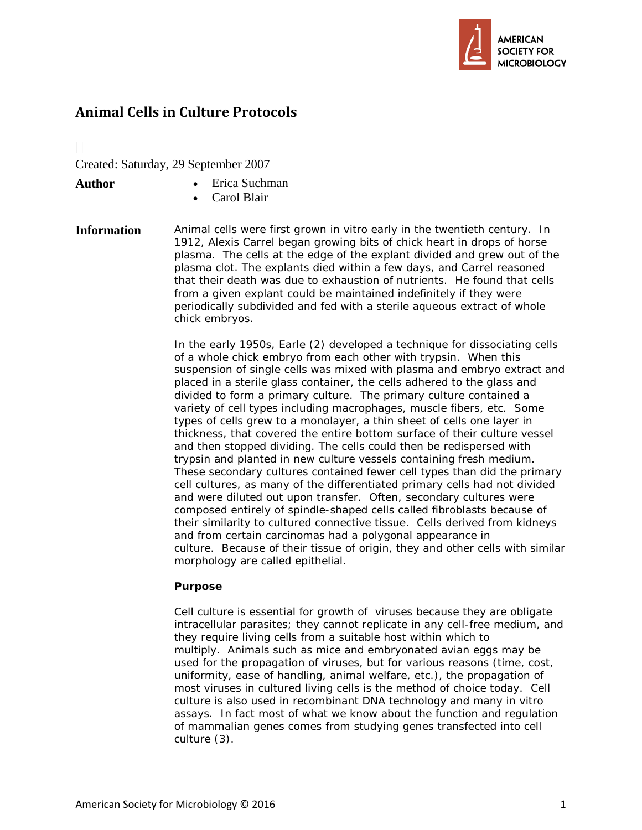

# **Animal Cells in Culture Protocols**

Created: Saturday, 29 September 2007

- **Author** Erica Suchman
	- Carol Blair
- **Information** Animal cells were first grown in vitro early in the twentieth century. In 1912, Alexis Carrel began growing bits of chick heart in drops of horse plasma. The cells at the edge of the explant divided and grew out of the plasma clot. The explants died within a few days, and Carrel reasoned that their death was due to exhaustion of nutrients. He found that cells from a given explant could be maintained indefinitely if they were periodically subdivided and fed with a sterile aqueous extract of whole chick embryos.

In the early 1950s, Earle (2) developed a technique for dissociating cells of a whole chick embryo from each other with trypsin. When this suspension of single cells was mixed with plasma and embryo extract and placed in a sterile glass container, the cells adhered to the glass and divided to form a primary culture. The primary culture contained a variety of cell types including macrophages, muscle fibers, etc. Some types of cells grew to a monolayer, a thin sheet of cells one layer in thickness, that covered the entire bottom surface of their culture vessel and then stopped dividing. The cells could then be redispersed with trypsin and planted in new culture vessels containing fresh medium. These secondary cultures contained fewer cell types than did the primary cell cultures, as many of the differentiated primary cells had not divided and were diluted out upon transfer. Often, secondary cultures were composed entirely of spindle-shaped cells called fibroblasts because of their similarity to cultured connective tissue. Cells derived from kidneys and from certain carcinomas had a polygonal appearance in culture. Because of their tissue of origin, they and other cells with similar morphology are called epithelial.

# **Purpose**

Cell culture is essential for growth of viruses because they are obligate intracellular parasites; they cannot replicate in any cell-free medium, and they require living cells from a suitable host within which to multiply. Animals such as mice and embryonated avian eggs may be used for the propagation of viruses, but for various reasons (time, cost, uniformity, ease of handling, animal welfare, etc.), the propagation of most viruses in cultured living cells is the method of choice today. Cell culture is also used in recombinant DNA technology and many in vitro assays. In fact most of what we know about the function and regulation of mammalian genes comes from studying genes transfected into cell culture (3).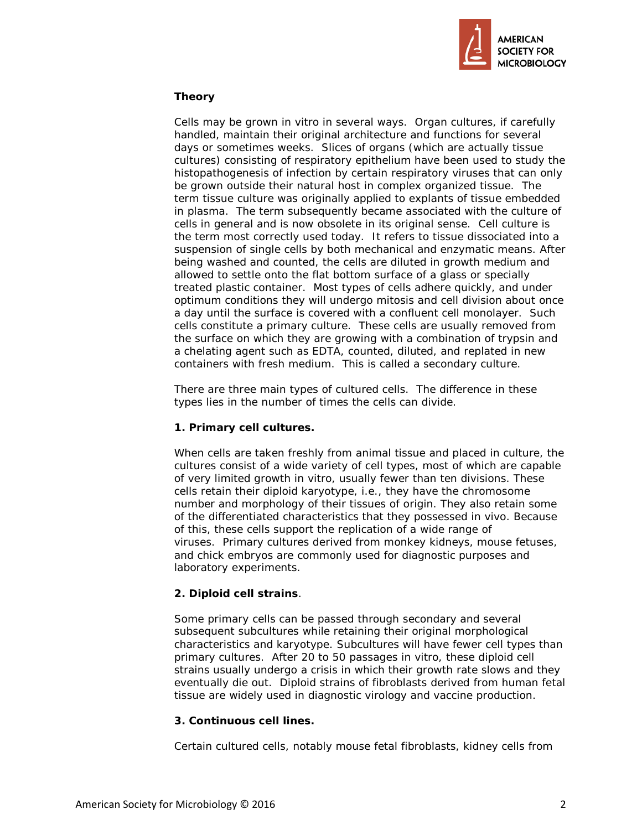

# **Theory**

Cells may be grown in vitro in several ways. Organ cultures, if carefully handled, maintain their original architecture and functions for several days or sometimes weeks. Slices of organs (which are actually tissue cultures) consisting of respiratory epithelium have been used to study the histopathogenesis of infection by certain respiratory viruses that can only be grown outside their natural host in complex organized tissue. The term tissue culture was originally applied to explants of tissue embedded in plasma. The term subsequently became associated with the culture of cells in general and is now obsolete in its original sense. Cell culture is the term most correctly used today. It refers to tissue dissociated into a suspension of single cells by both mechanical and enzymatic means. After being washed and counted, the cells are diluted in growth medium and allowed to settle onto the flat bottom surface of a glass or specially treated plastic container. Most types of cells adhere quickly, and under optimum conditions they will undergo mitosis and cell division about once a day until the surface is covered with a confluent cell monolayer. Such cells constitute a primary culture. These cells are usually removed from the surface on which they are growing with a combination of trypsin and a chelating agent such as EDTA, counted, diluted, and replated in new containers with fresh medium. This is called a secondary culture.

There are three main types of cultured cells. The difference in these types lies in the number of times the cells can divide.

# **1. Primary cell cultures.**

When cells are taken freshly from animal tissue and placed in culture, the cultures consist of a wide variety of cell types, most of which are capable of very limited growth in vitro, usually fewer than ten divisions. These cells retain their diploid karyotype, i.e., they have the chromosome number and morphology of their tissues of origin. They also retain some of the differentiated characteristics that they possessed in vivo*.* Because of this, these cells support the replication of a wide range of viruses. Primary cultures derived from monkey kidneys, mouse fetuses, and chick embryos are commonly used for diagnostic purposes and laboratory experiments.

# **2. Diploid cell strains**.

Some primary cells can be passed through secondary and several subsequent subcultures while retaining their original morphological characteristics and karyotype. Subcultures will have fewer cell types than primary cultures. After 20 to 50 passages in vitro, these diploid cell strains usually undergo a crisis in which their growth rate slows and they eventually die out. Diploid strains of fibroblasts derived from human fetal tissue are widely used in diagnostic virology and vaccine production.

# **3. Continuous cell lines.**

Certain cultured cells, notably mouse fetal fibroblasts, kidney cells from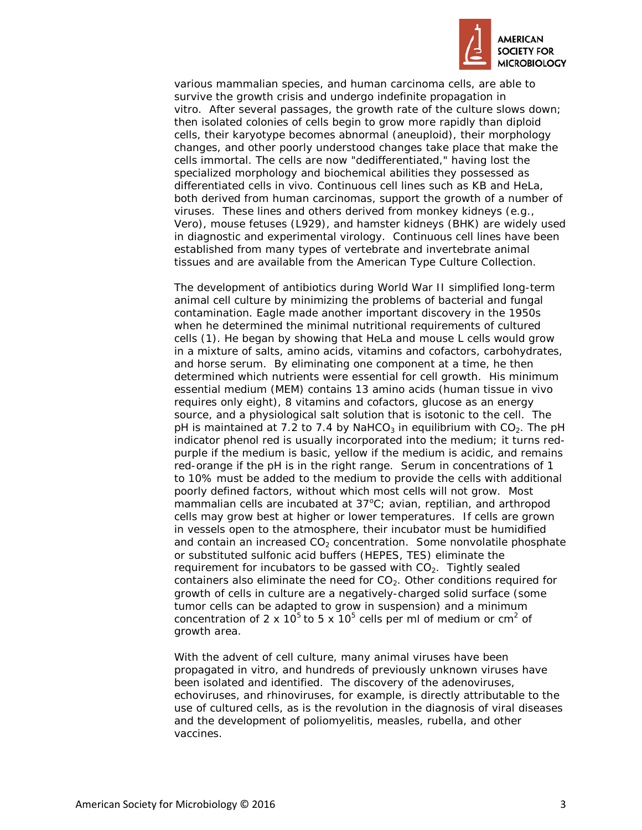

various mammalian species, and human carcinoma cells, are able to survive the growth crisis and undergo indefinite propagation in vitro. After several passages, the growth rate of the culture slows down; then isolated colonies of cells begin to grow more rapidly than diploid cells, their karyotype becomes abnormal (aneuploid), their morphology changes, and other poorly understood changes take place that make the cells immortal. The cells are now "dedifferentiated," having lost the specialized morphology and biochemical abilities they possessed as differentiated cells in vivo. Continuous cell lines such as KB and HeLa, both derived from human carcinomas, support the growth of a number of viruses. These lines and others derived from monkey kidneys (e.g., Vero), mouse fetuses (L929), and hamster kidneys (BHK) are widely used in diagnostic and experimental virology. Continuous cell lines have been established from many types of vertebrate and invertebrate animal tissues and are available from the American Type Culture Collection.

The development of antibiotics during World War II simplified long-term animal cell culture by minimizing the problems of bacterial and fungal contamination. Eagle made another important discovery in the 1950s when he determined the minimal nutritional requirements of cultured cells (1). He began by showing that HeLa and mouse L cells would grow in a mixture of salts, amino acids, vitamins and cofactors, carbohydrates, and horse serum. By eliminating one component at a time, he then determined which nutrients were essential for cell growth. His minimum essential medium (MEM) contains 13 amino acids (human tissue in vivo requires only eight), 8 vitamins and cofactors, glucose as an energy source, and a physiological salt solution that is isotonic to the cell. The pH is maintained at 7.2 to 7.4 by NaHCO<sub>3</sub> in equilibrium with  $CO<sub>2</sub>$ . The pH indicator phenol red is usually incorporated into the medium; it turns redpurple if the medium is basic, yellow if the medium is acidic, and remains red-orange if the pH is in the right range. Serum in concentrations of 1 to 10% must be added to the medium to provide the cells with additional poorly defined factors, without which most cells will not grow. Most mammalian cells are incubated at 37°C; avian, reptilian, and arthropod cells may grow best at higher or lower temperatures. If cells are grown in vessels open to the atmosphere, their incubator must be humidified and contain an increased  $CO<sub>2</sub>$  concentration. Some nonvolatile phosphate or substituted sulfonic acid buffers (HEPES, TES) eliminate the requirement for incubators to be gassed with  $CO<sub>2</sub>$ . Tightly sealed containers also eliminate the need for  $CO<sub>2</sub>$ . Other conditions required for growth of cells in culture are a negatively-charged solid surface (some tumor cells can be adapted to grow in suspension) and a minimum concentration of 2 x 10<sup>5</sup> to 5 x 10<sup>5</sup> cells per ml of medium or cm<sup>2</sup> of growth area.

With the advent of cell culture, many animal viruses have been propagated in vitro, and hundreds of previously unknown viruses have been isolated and identified. The discovery of the adenoviruses, echoviruses, and rhinoviruses, for example, is directly attributable to the use of cultured cells, as is the revolution in the diagnosis of viral diseases and the development of poliomyelitis, measles, rubella, and other vaccines.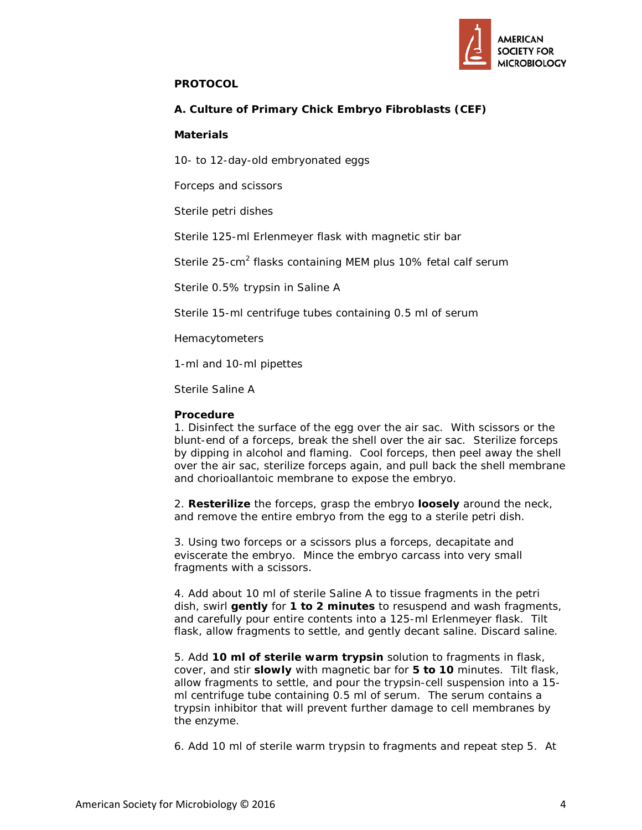

# **PROTOCOL**

# **A. Culture of Primary Chick Embryo Fibroblasts (CEF)**

### **Materials**

10- to 12-day-old embryonated eggs

Forceps and scissors

Sterile petri dishes

Sterile 125-ml Erlenmeyer flask with magnetic stir bar

Sterile 25-cm<sup>2</sup> flasks containing MEM plus 10% fetal calf serum

Sterile 0.5% trypsin in Saline A

Sterile 15-ml centrifuge tubes containing 0.5 ml of serum

Hemacytometers

1-ml and 10-ml pipettes

Sterile Saline A

#### **Procedure**

1. Disinfect the surface of the egg over the air sac. With scissors or the blunt-end of a forceps, break the shell over the air sac. Sterilize forceps by dipping in alcohol and flaming. Cool forceps, then peel away the shell over the air sac, sterilize forceps again, and pull back the shell membrane and chorioallantoic membrane to expose the embryo.

2. **Resterilize** the forceps, grasp the embryo **loosely** around the neck, and remove the entire embryo from the egg to a sterile petri dish.

3. Using two forceps or a scissors plus a forceps, decapitate and eviscerate the embryo. Mince the embryo carcass into very small fragments with a scissors.

4. Add about 10 ml of sterile Saline A to tissue fragments in the petri dish, swirl **gently** for **1 to 2 minutes** to resuspend and wash fragments, and carefully pour entire contents into a 125-ml Erlenmeyer flask. Tilt flask, allow fragments to settle, and gently decant saline. Discard saline.

5. Add **10 ml of sterile warm trypsin** solution to fragments in flask, cover, and stir **slowly** with magnetic bar for **5 to 10** minutes. Tilt flask, allow fragments to settle, and pour the trypsin-cell suspension into a 15 ml centrifuge tube containing 0.5 ml of serum. The serum contains a trypsin inhibitor that will prevent further damage to cell membranes by the enzyme.

6. Add 10 ml of sterile warm trypsin to fragments and repeat step 5. At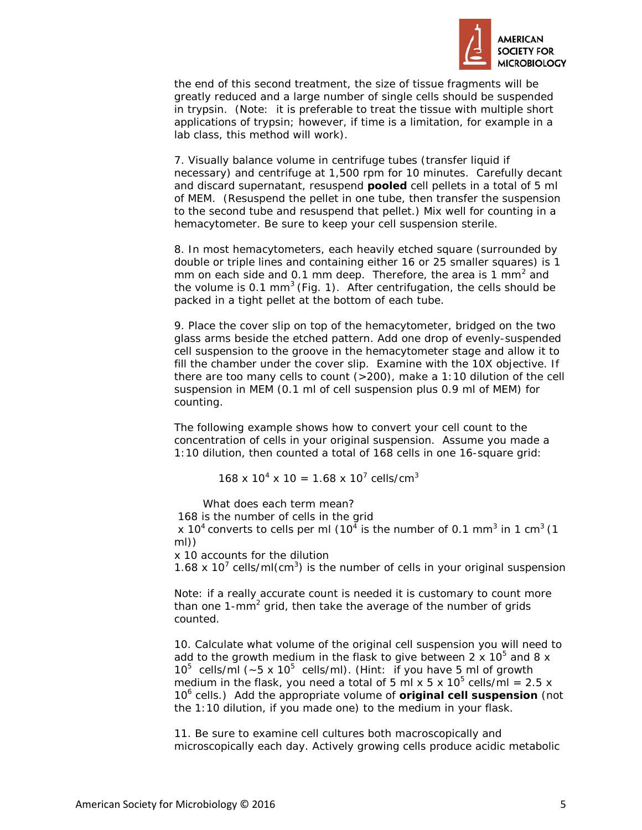

the end of this second treatment, the size of tissue fragments will be greatly reduced and a large number of single cells should be suspended in trypsin. (Note: it is preferable to treat the tissue with multiple short applications of trypsin; however, if time is a limitation, for example in a lab class, this method will work).

7. Visually balance volume in centrifuge tubes (transfer liquid if necessary) and centrifuge at 1,500 rpm for 10 minutes. Carefully decant and discard supernatant, resuspend **pooled** cell pellets in a total of 5 ml of MEM. (Resuspend the pellet in one tube, then transfer the suspension to the second tube and resuspend that pellet.) Mix well for counting in a hemacytometer. Be sure to keep your cell suspension sterile.

8. In most hemacytometers, each heavily etched square (surrounded by double or triple lines and containing either 16 or 25 smaller squares) is 1 mm on each side and 0.1 mm deep. Therefore, the area is 1 mm<sup>2</sup> and the volume is 0.1 mm<sup>3</sup> (Fig. 1). After centrifugation, the cells should be packed in a tight pellet at the bottom of each tube.

9. Place the cover slip on top of the hemacytometer, bridged on the two glass arms beside the etched pattern. Add one drop of evenly-suspended cell suspension to the groove in the hemacytometer stage and allow it to fill the chamber under the cover slip. Examine with the 10X objective. If there are too many cells to count (>200), make a 1:10 dilution of the cell suspension in MEM (0.1 ml of cell suspension plus 0.9 ml of MEM) for counting.

The following example shows how to convert your cell count to the concentration of cells in your original suspension. Assume you made a 1:10 dilution, then counted a total of 168 cells in one 16-square grid:

 $168 \times 10^{4} \times 10 = 1.68 \times 10^{7}$  cells/cm<sup>3</sup>

What does each term mean?

168 is the number of cells in the grid

x 10<sup>4</sup> converts to cells per ml (10<sup>4</sup> is the number of 0.1 mm<sup>3</sup> in 1 cm<sup>3</sup> (1 ml))

x 10 accounts for the dilution

1.68 x 10<sup>7</sup> cells/ml(cm<sup>3</sup>) is the number of cells in your original suspension

Note: if a really accurate count is needed it is customary to count more than one  $1$ -mm<sup>2</sup> grid, then take the average of the number of grids counted.

10. Calculate what volume of the original cell suspension you will need to add to the growth medium in the flask to give between 2 x  $10^5$  and 8 x  $10^5$  cells/ml (~5 x  $10^5$  cells/ml). (Hint: if you have 5 ml of growth medium in the flask, you need a total of 5 ml x 5 x  $10^5$  cells/ml = 2.5 x 10<sup>6</sup> cells.) Add the appropriate volume of **original cell suspension** (not the 1:10 dilution, if you made one) to the medium in your flask.

11. Be sure to examine cell cultures both macroscopically and microscopically each day. Actively growing cells produce acidic metabolic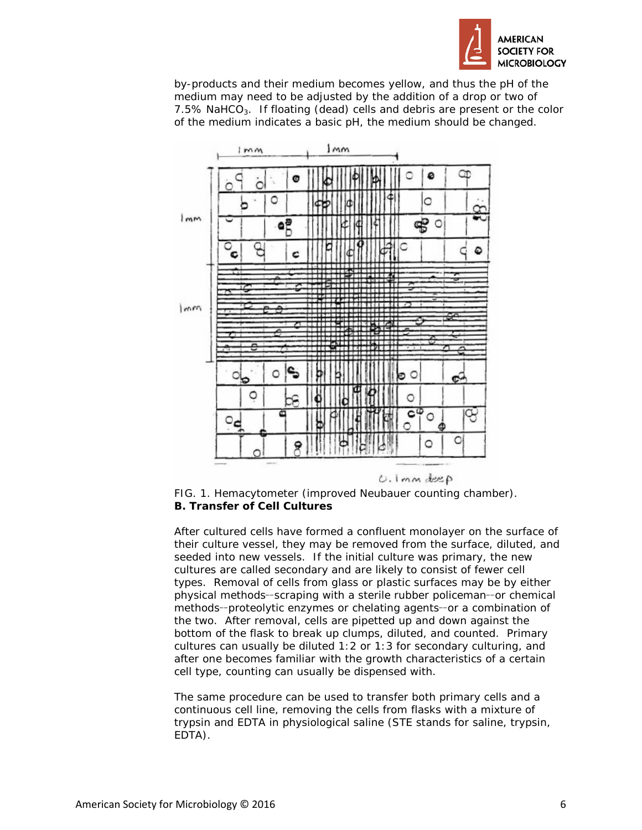

by-products and their medium becomes yellow, and thus the pH of the medium may need to be adjusted by the addition of a drop or two of  $7.5\%$  NaHCO<sub>3</sub>. If floating (dead) cells and debris are present or the color of the medium indicates a basic pH, the medium should be changed.





After cultured cells have formed a confluent monolayer on the surface of their culture vessel, they may be removed from the surface, diluted, and seeded into new vessels. If the initial culture was primary, the new cultures are called secondary and are likely to consist of fewer cell types. Removal of cells from glass or plastic surfaces may be by either physical methods-scraping with a sterile rubber policeman-or chemical methods-proteolytic enzymes or chelating agents-or a combination of the two. After removal, cells are pipetted up and down against the bottom of the flask to break up clumps, diluted, and counted. Primary cultures can usually be diluted 1:2 or 1:3 for secondary culturing, and after one becomes familiar with the growth characteristics of a certain cell type, counting can usually be dispensed with.

The same procedure can be used to transfer both primary cells and a continuous cell line, removing the cells from flasks with a mixture of trypsin and EDTA in physiological saline (STE stands for saline, trypsin, EDTA).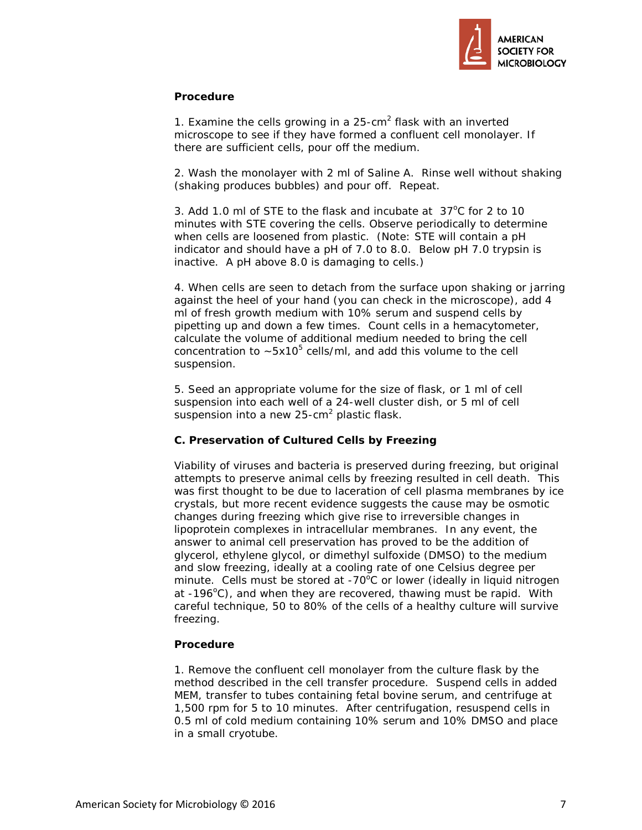

# **Procedure**

1. Examine the cells growing in a  $25$ -cm<sup>2</sup> flask with an inverted microscope to see if they have formed a confluent cell monolayer. If there are sufficient cells, pour off the medium.

2. Wash the monolayer with 2 ml of Saline A. Rinse well without shaking (shaking produces bubbles) and pour off. Repeat.

3. Add 1.0 ml of STE to the flask and incubate at  $37^{\circ}$ C for 2 to 10 minutes with STE covering the cells. Observe periodically to determine when cells are loosened from plastic. (Note: STE will contain a pH indicator and should have a pH of 7.0 to 8.0. Below pH 7.0 trypsin is inactive. A pH above 8.0 is damaging to cells.)

4. When cells are seen to detach from the surface upon shaking or jarring against the heel of your hand (you can check in the microscope), add 4 ml of fresh growth medium with 10% serum and suspend cells by pipetting up and down a few times. Count cells in a hemacytometer, calculate the volume of additional medium needed to bring the cell concentration to  $\sim$  5x10<sup>5</sup> cells/ml, and add this volume to the cell suspension.

5. Seed an appropriate volume for the size of flask, or 1 ml of cell suspension into each well of a 24-well cluster dish, or 5 ml of cell suspension into a new  $25$ -cm<sup>2</sup> plastic flask.

# **C. Preservation of Cultured Cells by Freezing**

Viability of viruses and bacteria is preserved during freezing, but original attempts to preserve animal cells by freezing resulted in cell death. This was first thought to be due to laceration of cell plasma membranes by ice crystals, but more recent evidence suggests the cause may be osmotic changes during freezing which give rise to irreversible changes in lipoprotein complexes in intracellular membranes. In any event, the answer to animal cell preservation has proved to be the addition of glycerol, ethylene glycol, or dimethyl sulfoxide (DMSO) to the medium and slow freezing, ideally at a cooling rate of one Celsius degree per minute. Cells must be stored at -70°C or lower (ideally in liquid nitrogen at -196°C), and when they are recovered, thawing must be rapid. With careful technique, 50 to 80% of the cells of a healthy culture will survive freezing.

#### **Procedure**

1. Remove the confluent cell monolayer from the culture flask by the method described in the cell transfer procedure. Suspend cells in added MEM, transfer to tubes containing fetal bovine serum, and centrifuge at 1,500 rpm for 5 to 10 minutes. After centrifugation, resuspend cells in 0.5 ml of cold medium containing 10% serum and 10% DMSO and place in a small cryotube.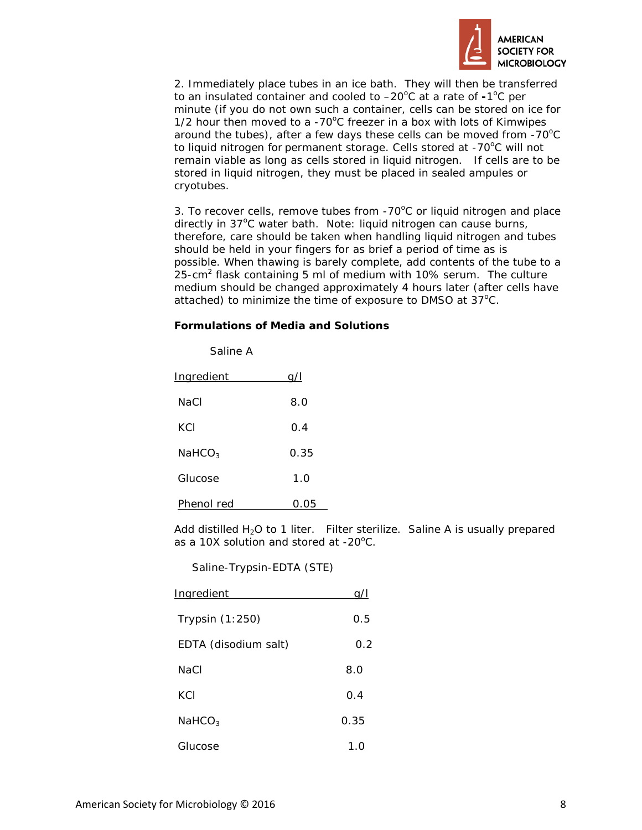

2. Immediately place tubes in an ice bath. They will then be transferred to an insulated container and cooled to -20<sup>o</sup>C at a rate of -1<sup>o</sup>C per minute (if you do not own such a container, cells can be stored on ice for 1/2 hour then moved to a -70 $^{\circ}$ C freezer in a box with lots of Kimwipes around the tubes), after a few days these cells can be moved from -70 $^{\circ}$ C to liquid nitrogen for permanent storage. Cells stored at -70°C will not remain viable as long as cells stored in liquid nitrogen. If cells are to be stored in liquid nitrogen, they must be placed in sealed ampules or cryotubes.

3. To recover cells, remove tubes from -70°C or liquid nitrogen and place directly in 37°C water bath. Note: liquid nitrogen can cause burns, therefore, care should be taken when handling liquid nitrogen and tubes should be held in your fingers for as brief a period of time as is possible. When thawing is barely complete, add contents of the tube to a 25-cm<sup>2</sup> flask containing 5 ml of medium with 10% serum. The culture medium should be changed approximately 4 hours later (after cells have attached) to minimize the time of exposure to DMSO at  $37^{\circ}$ C.

### **Formulations of Media and Solutions**

| Saline A           |      |
|--------------------|------|
| Ingredient         | a/l  |
| NaCl               | 8.0  |
| KCI                | 0.4  |
| NaHCO <sub>3</sub> | 0.35 |
| Glucose            | 1.0  |
| Phenol red         | 0.05 |

Add distilled  $H_2O$  to 1 liter. Filter sterilize. Saline A is usually prepared as a 10X solution and stored at -20°C.

Saline-Trypsin-EDTA (STE)

| <u>Ingredient</u>    |      |
|----------------------|------|
| Trypsin $(1:250)$    | 0.5  |
| EDTA (disodium salt) | 0.2  |
| NaCl                 | 8.0  |
| KCI                  | 0.4  |
| NaHCO <sub>3</sub>   | 0.35 |
| Glucose              | 1.0  |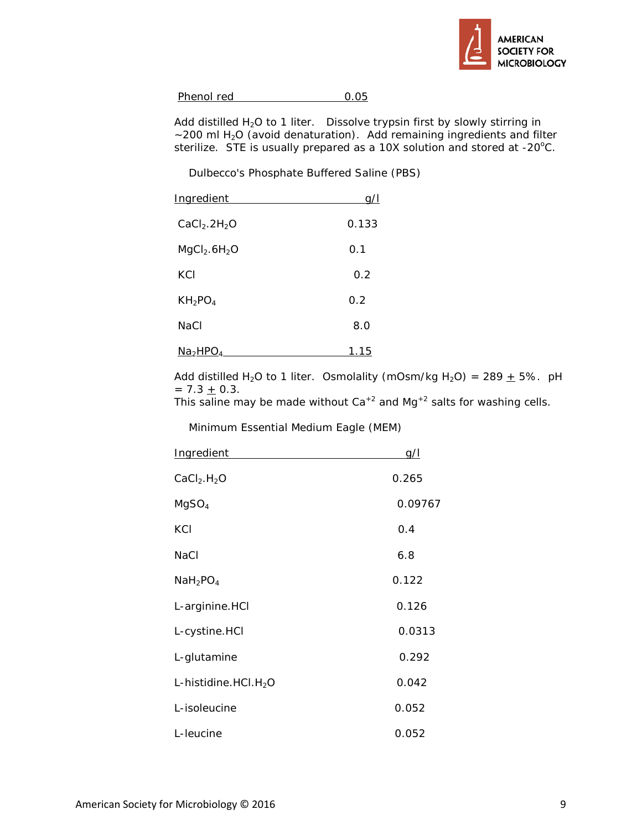

Phenol red 0.05

Add distilled  $H_2O$  to 1 liter. Dissolve trypsin first by slowly stirring in  $\sim$  200 ml H<sub>2</sub>O (avoid denaturation). Add remaining ingredients and filter sterilize. STE is usually prepared as a 10X solution and stored at  $-20^{\circ}$ C.

Dulbecco's Phosphate Buffered Saline (PBS)

| Ingredient                           |       |
|--------------------------------------|-------|
| $CaCl2$ .2H <sub>2</sub> O           | 0.133 |
| MqCl <sub>2</sub> .6H <sub>2</sub> O | 0.1   |
| KCI                                  | 0.2   |
| $KH_{2}PO_{4}$                       | 0.2   |
| NaCl                                 | 8.0   |
| Na <sub>2</sub> HP0                  | 1.15  |

Add distilled H<sub>2</sub>O to 1 liter. Osmolality (mOsm/kg H<sub>2</sub>O) = 289  $\pm$  5%. pH  $= 7.3 \pm 0.3$ .

This saline may be made without  $Ca^{+2}$  and Mg<sup>+2</sup> salts for washing cells.

Minimum Essential Medium Eagle (MEM)

| Ingredient                          | g/l     |
|-------------------------------------|---------|
| CaCl <sub>2</sub> .H <sub>2</sub> O | 0.265   |
| MgSO <sub>4</sub>                   | 0.09767 |
| KCI                                 | 0.4     |
| NaCl                                | 6.8     |
| NaH <sub>2</sub> PO <sub>4</sub>    | 0.122   |
| L-arginine.HCl                      | 0.126   |
| L-cystine.HCl                       | 0.0313  |
| L-glutamine                         | 0.292   |
| L-histidine.HCl. $H_2O$             | 0.042   |
| L-isoleucine                        | 0.052   |
| L-leucine                           | 0.052   |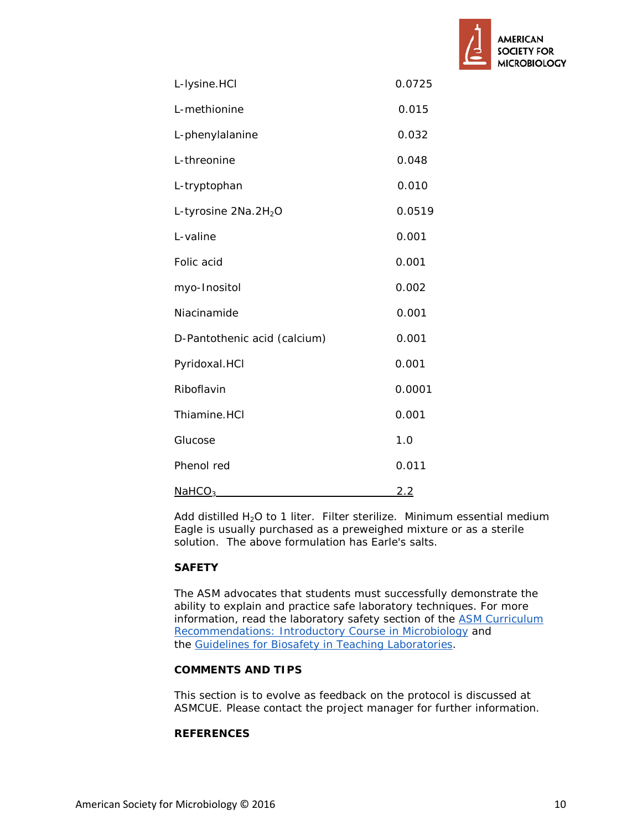

| L-lysine.HCl                 | 0.0725 |
|------------------------------|--------|
| L-methionine                 | 0.015  |
| L-phenylalanine              | 0.032  |
| L-threonine                  | 0.048  |
| L-tryptophan                 | 0.010  |
| L-tyrosine $2Na.2H2O$        | 0.0519 |
| L-valine                     | 0.001  |
| Folic acid                   | 0.001  |
| myo-Inositol                 | 0.002  |
| Niacinamide                  | 0.001  |
| D-Pantothenic acid (calcium) | 0.001  |
| Pyridoxal.HCl                | 0.001  |
| Riboflavin                   | 0.0001 |
| Thiamine.HCI                 | 0.001  |
| Glucose                      | 1.0    |
| Phenol red                   | 0.011  |
| NaHCO <sub>3</sub>           | 2.2    |

Add distilled  $H_2O$  to 1 liter. Filter sterilize. Minimum essential medium Eagle is usually purchased as a preweighed mixture or as a sterile solution. The above formulation has Earle's salts.

# **SAFETY**

The ASM advocates that students must successfully demonstrate the ability to explain and practice safe laboratory techniques. For more information, read the laboratory safety section of the [ASM Curriculum](http://www.asm.org/index.php/undergraduate-faculty/curriculum-resources-and-publications/29-education/undergraduate-faculty/213-asms-curriculum-recommendations-introductory-course-in-microbiology1)  [Recommendations: Introductory Course in Microbiology](http://www.asm.org/index.php/undergraduate-faculty/curriculum-resources-and-publications/29-education/undergraduate-faculty/213-asms-curriculum-recommendations-introductory-course-in-microbiology1) and the [Guidelines for Biosafety in Teaching Laboratories.](http://www.asm.org/index.php/microbelibrary/laboratory-safety-guidelines)

# **COMMENTS AND TIPS**

This section is to evolve as feedback on the protocol is discussed at ASMCUE. Please contact the project manager for further information.

#### **REFERENCES**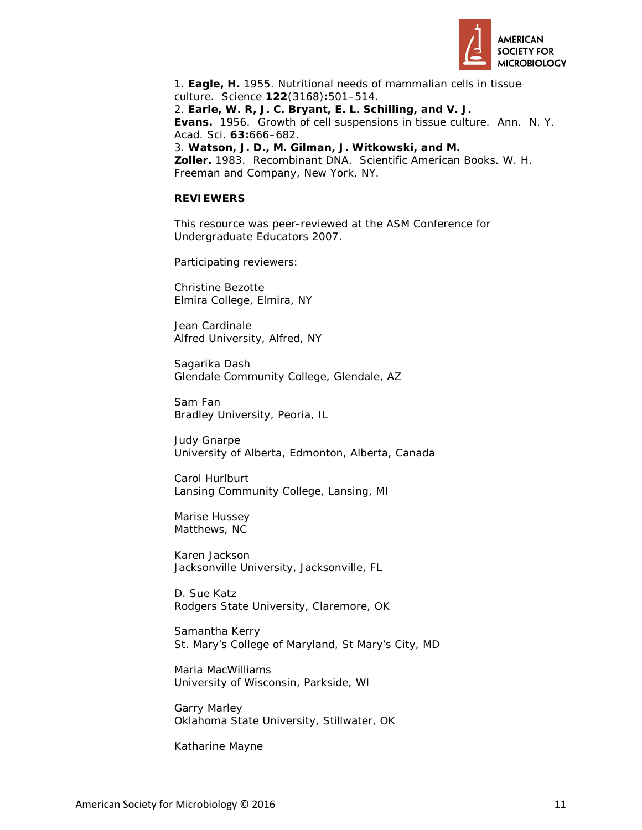

1. **Eagle, H.** 1955. Nutritional needs of mammalian cells in tissue culture. Science **122**(3168)**:**501–514.

2. **Earle, W. R, J. C. Bryant, E. L. Schilling, and V. J.** 

**Evans.** 1956. Growth of cell suspensions in tissue culture. Ann. N. Y. Acad. Sci. **63:**666–682.

3. **Watson, J. D., M. Gilman, J. Witkowski, and M.** 

**Zoller.** 1983. Recombinant DNA. Scientific American Books. W. H. Freeman and Company, New York, NY.

# **REVIEWERS**

This resource was peer-reviewed at the ASM Conference for Undergraduate Educators 2007.

Participating reviewers:

Christine Bezotte Elmira College, Elmira, NY

Jean Cardinale Alfred University, Alfred, NY

Sagarika Dash Glendale Community College, Glendale, AZ

Sam Fan Bradley University, Peoria, IL

Judy Gnarpe University of Alberta, Edmonton, Alberta, Canada

Carol Hurlburt Lansing Community College, Lansing, MI

Marise Hussey Matthews, NC

Karen Jackson Jacksonville University, Jacksonville, FL

D. Sue Katz Rodgers State University, Claremore, OK

Samantha Kerry St. Mary's College of Maryland, St Mary's City, MD

Maria MacWilliams University of Wisconsin, Parkside, WI

Garry Marley Oklahoma State University, Stillwater, OK

Katharine Mayne